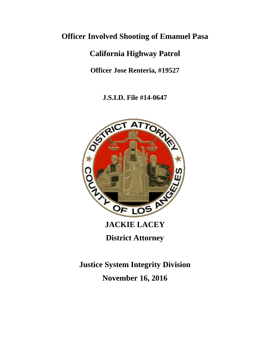## **Officer Involved Shooting of Emanuel Pasa**

# **California Highway Patrol**

**Officer Jose Renteria, #19527**

**J.S.I.D. File #14-0647**



**District Attorney**

**Justice System Integrity Division November 16, 2016**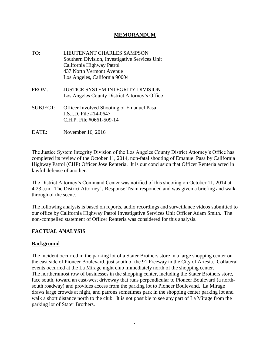### **MEMORANDUM**

- TO: LIEUTENANT CHARLES SAMPSON Southern Division, Investigative Services Unit California Highway Patrol 437 North Vermont Avenue Los Angeles, California 90004
- FROM: JUSTICE SYSTEM INTEGRITY DIVISION Los Angeles County District Attorney's Office
- SUBJECT: Officer Involved Shooting of Emanuel Pasa J.S.I.D. File #14-0647 C.H.P. File #0661-509-14
- DATE: November 16, 2016

The Justice System Integrity Division of the Los Angeles County District Attorney's Office has completed its review of the October 11, 2014, non-fatal shooting of Emanuel Pasa by California Highway Patrol (CHP) Officer Jose Renteria. It is our conclusion that Officer Renteria acted in lawful defense of another.

The District Attorney's Command Center was notified of this shooting on October 11, 2014 at 4:23 a.m. The District Attorney's Response Team responded and was given a briefing and walkthrough of the scene.

The following analysis is based on reports, audio recordings and surveillance videos submitted to our office by California Highway Patrol Investigative Services Unit Officer Adam Smith. The non-compelled statement of Officer Renteria was considered for this analysis.

## **FACTUAL ANALYSIS**

## **Background**

The incident occurred in the parking lot of a Stater Brothers store in a large shopping center on the east side of Pioneer Boulevard, just south of the 91 Freeway in the City of Artesia. Collateral events occurred at the La Mirage night club immediately north of the shopping center. The northernmost row of businesses in the shopping center, including the Stater Brothers store, face south, toward an east-west driveway that runs perpendicular to Pioneer Boulevard (a northsouth roadway) and provides access from the parking lot to Pioneer Boulevand. La Mirage draws large crowds at night, and patrons sometimes park in the shopping center parking lot and walk a short distance north to the club. It is not possible to see any part of La Mirage from the parking lot of Stater Brothers.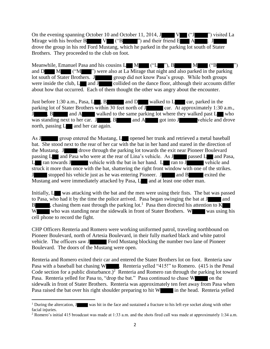On the evening spanning October 10 and October 11, 2014, J V ("J ") visited La Mirage with his brother B  $V = (^{\circ}B \$  ") and their friend E  $A$   $\blacksquare$ . J drove the group in his red Ford Mustang, which he parked in the parking lot south of Stater Brothers. They proceeded to the club on foot.

Meanwhile, Emanuel Pasa and his cousins  $L \cup M \cup (U'_{\text{max}})$ , B  $M \cup (U'_{\text{max}})$ and D M ("M ") were also at La Mirage that night and also parked in the parking lot south of Stater Brothers. J group did not know Pasa's group. While both groups were inside the club, L and J collided on the dance floor, although their accounts differ about how that occurred. Each of them thought the other was angry about the encounter.

Just before 1:30 a.m., Pasa,  $L$ , B and D walked to  $L$  car, parked in the parking lot of Stater Brothers within 30 feet north of J car. At approximately 1:30 a.m., J , B and A walked to the same parking lot where they walked past L who was standing next to her car.  $J \rightarrow$  , B and A got into J vehicle and drove north, passing  $L$  and her car again.

As J group entered the Mustang, L opened her trunk and retrieved a metal baseball bat. She stood next to the rear of her car with the bat in her hand and stared in the direction of the Mustang. J drove through the parking lot towards the exit near Pioneer Boulevard passing L and Pasa who were at the rear of Lina's vehicle. As J passed L and Pasa, L ran towards J vehicle with the bat in her hand. L ran to J vehicle and struck it more than once with the bat, shattering the right front window with one of the strikes. J stopped his vehicle just as he was entering Pioneer. J and B exited the Mustang and were immediately attacked by Pasa, Land at least one other man.

Initially, L was attacking with the bat and the men were using their fists. The bat was passed to Pasa, who had it by the time the police arrived. Pasa began swinging the bat at J and B shares, chasing them east through the parking lot.<sup>1</sup> Pasa then directed his attention to K W who was standing near the sidewalk in front of Stater Brothers. W was using his cell phone to record the fight.

CHP Officers Renteria and Romero were working uniformed patrol, traveling northbound on Pioneer Boulevard, north of Artesia Boulevard, in their fully marked black and white patrol vehicle. The officers saw J Ford Mustang blocking the number two lane of Pioneer Boulevard. The doors of the Mustang were open.

Renteria and Romero exited their car and entered the Stater Brothers lot on foot. Renteria saw Pasa with a baseball bat chasing W . Renteria yelled "415!" to Romero. (415 is the Penal Code section for a public disturbance.)<sup>2</sup> Renteria and Romero ran through the parking lot toward Pasa. Renteria yelled for Pasa to, "drop the bat." Pasa continued to chase W on the sidewalk in front of Stater Brothers. Renteria was approximately ten feet away from Pasa when Pasa raised the bat over his right shoulder preparing to hit W in the head. Renteria yelled

<sup>&</sup>lt;sup>1</sup> During the altercation,  $J$  was hit in the face and sustained a fracture to his left eye socket along with other facial injuries.

<sup>2</sup> Romero's initial 415 broadcast was made at 1:33 a.m. and the shots fired call was made at approximately 1:34 a.m.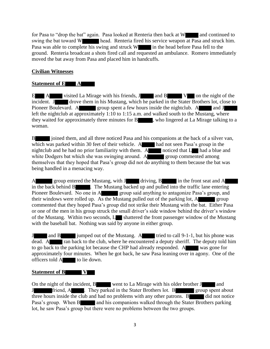for Pasa to "drop the bat" again. Pasa looked at Renteria then back at W and continued to swing the bat toward W head. Renteria fired his service weapon at Pasa and struck him. Pasa was able to complete his swing and struck W in the head before Pasa fell to the ground. Renteria broadcast a shots fired call and requested an ambulance. Romero immediately moved the bat away from Pasa and placed him in handcuffs.

## **Civilian Witnesses**

### **Statement of E A**

 $E$  A visited La Mirage with his friends, J and B V on the night of the incident. J drove them in his Mustang, which he parked in the Stater Brothers lot, close to Pioneer Boulevard. A group spent a few hours inside the nightclub. A and J left the nightclub at approximately 1:10 to 1:15 a.m. and walked south to the Mustang, where they waited for approximately three minutes for B , who lingered at La Mirage talking to a woman.

B joined them, and all three noticed Pasa and his companions at the back of a silver van, which was parked within 30 feet of their vehicle. A had not seen Pasa's group in the nightclub and he had no prior familiarity with them. A noticed that L had a blue and white Dodgers bat which she was swinging around. A group commented among themselves that they hoped that Pasa's group did not do anything to them because the bat was being handled in a menacing way.

A group entered the Mustang, with J driving, B in the front seat and A in the back behind B . The Mustang backed up and pulled into the traffic lane entering Pioneer Boulevard. No one in A group said anything to antagonize Pasa's group, and their windows were rolled up. As the Mustang pulled out of the parking lot,  $A$  group commented that they hoped Pasa's group did not strike their Mustang with the bat. Either Pasa or one of the men in his group struck the small driver's side window behind the driver's window of the Mustang. Within two seconds, Let shattered the front passenger window of the Mustang with the baseball bat. Nothing was said by anyone in either group.

J and B jumped out of the Mustang. A tried to call 9-1-1, but his phone was dead. A ran back to the club, where he encountered a deputy sheriff. The deputy told him to go back to the parking lot because the CHP had already responded. A was gone for approximately four minutes. When he got back, he saw Pasa leaning over in agony. One of the officers told A to lie down.

#### **Statement of B V**

On the night of the incident, B went to La Mirage with his older brother J and J friend, A . They parked in the Stater Brothers lot. B group spent about three hours inside the club and had no problems with any other patrons.  $\overline{B}$  did not notice Pasa's group. When B and his companions walked through the Stater Brothers parking lot, he saw Pasa's group but there were no problems between the two groups.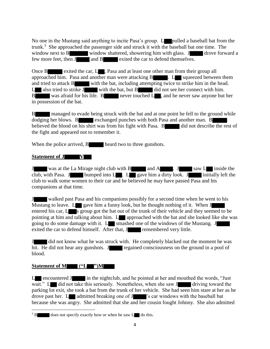No one in the Mustang said anything to incite Pasa's group. Legender a baseball bat from the trunk.<sup>3</sup> She approached the passenger side and struck it with the baseball bat one time. The window next to B window shattered, showering him with glass. J drove forward a few more feet, then J and B exited the car to defend themselves.

Once B exited the car, L, Pasa and at least one other man from their group all approached him. Pasa and another man were attacking B . L squeezed between them and tried to attack B with the bat, including attempting twice to strike him in the head.  $L$  also tried to strike  $J$  with the bat, but  $B$  did not see her connect with him. B was afraid for his life. B never touched L, and he never saw anyone but her in possession of the bat.

B managed to evade being struck with the bat and at one point he fell to the ground while dodging her blows. B exchanged punches with both Pasa and another man. B believed the blood on his shirt was from his fight with Pasa. B did not describe the rest of the fight and appeared not to remember it.

When the police arrived, B heard two to three gunshots.

#### **Statement of J V**

J was at the La Mirage night club with B and A . J saw L inside the club, with Pasa. J bumped into L . L gave him a dirty look. J initially left the club to walk some women to their car and he believed he may have passed Pasa and his companions at that time.

J walked past Pasa and his companions possibly for a second time when he went to his Mustang to leave.  $L_{\alpha}$  gave him a funny look, but he thought nothing of it. When J entered his car,  $L$  s group got the bat out of the trunk of their vehicle and they seemed to be pointing at him and talking about him. L approached with the bat and she looked like she was going to do some damage with it.  $L$  smashed one of the windows of the Mustang. J exited the car to defend himself. After that, J remembered very little.

J did not know what he was struck with. He completely blacked out the moment he was hit. He did not hear any gunshots. J regained consciousness on the ground in a pool of blood.

## **Statement of M ("L ")M**

L encountered J in the nightclub, and he pointed at her and mouthed the words, "Just wait."  $L$  did not take this seriously. Nonetheless, when she saw  $J$  driving toward the parking lot exit, she took a bat from the trunk of her vehicle. She had seen him stare at her as he drove past her. L admitted breaking one of J 's car windows with the baseball bat because she was angry. She admitted that she and her cousin fought Johnny. She also admitted

 $\overline{\phantom{a}}$  $3 B$  does not specify exactly how or when he saw L do this.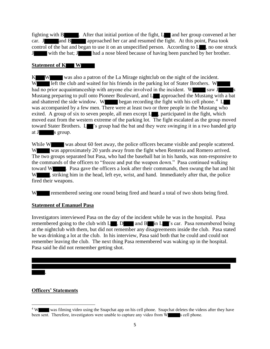fighting with  $B$  . After that initial portion of the fight,  $L$  and her group convened at her car. J and B approached her car and resumed the fight. At this point, Pasa took control of the bat and began to use it on an unspecified person. According to  $L_{\bullet}$ , no one struck J with the bat; J had a nose bleed because of having been punched by her brother.

#### **Statement of K W**

K W was also a patron of the La Mirage nightclub on the night of the incident. W left the club and waited for his friends in the parking lot of Stater Brothers. W had no prior acquaintanceship with anyone else involved in the incident. W saw J Mustang preparing to pull onto Pioneer Boulevard, and L approached the Mustang with a bat and shattered the side window. W began recording the fight with his cell phone.<sup>4</sup> L was accompanied by a few men. There were at least two or three people in the Mustang who exited. A group of six to seven people, all men except  $L_{\bullet}$ , participated in the fight, which moved east from the western extreme of the parking lot. The fight escalated as the group moved toward Stater Brothers. L 's group had the bat and they were swinging it in a two handed grip at J s group.

While W was about 60 feet away, the police officers became visible and people scattered. W was approximately 20 yards away from the fight when Renteria and Romero arrived. The two groups separated but Pasa, who had the baseball bat in his hands, was non-responsive to the commands of the officers to "freeze and put the weapon down." Pasa continued walking toward W . Pasa gave the officers a look after their commands, then swung the bat and hit W , striking him in the head, left eye, wrist, and hand. Immediately after that, the police fired their weapons.

W remembered seeing one round being fired and heard a total of two shots being fired.

## **Statement of Emanuel Pasa**

Investigators interviewed Pasa on the day of the incident while he was in the hospital. Pasa remembered going to the club with  $L \rightarrow D$  and  $B \rightarrow I$  in  $L \rightarrow S$  car. Pasa remembered being at the nightclub with them, but did not remember any disagreements inside the club. Pasa stated he was drinking a lot at the club. In his interview, Pasa said both that he could and could not remember leaving the club. The next thing Pasa remembered was waking up in the hospital. Pasa said he did not remember getting shot.

## **Officers' Statements**

.

 $\overline{\phantom{a}}$ <sup>4</sup> W was filming video using the Snapchat app on his cell phone. Snapchat deletes the videos after they have been sent. Therefore, investigators were unable to capture any video from W s cell phone.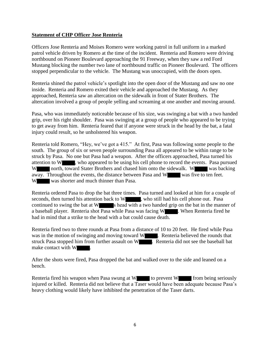#### **Statement of CHP Officer Jose Renteria**

Officers Jose Renteria and Moises Romero were working patrol in full uniform in a marked patrol vehicle driven by Romero at the time of the incident. Renteria and Romero were driving northbound on Pioneer Boulevard approaching the 91 Freeway, when they saw a red Ford Mustang blocking the number two lane of northbound traffic on Pioneer Boulevard. The officers stopped perpendicular to the vehicle. The Mustang was unoccupied, with the doors open.

Renteria shined the patrol vehicle's spotlight into the open door of the Mustang and saw no one inside. Renteria and Romero exited their vehicle and approached the Mustang. As they approached, Renteria saw an altercation on the sidewalk in front of Stater Brothers. The altercation involved a group of people yelling and screaming at one another and moving around.

Pasa, who was immediately noticeable because of his size, was swinging a bat with a two handed grip, over his right shoulder. Pasa was swinging at a group of people who appeared to be trying to get away from him. Renteria feared that if anyone were struck in the head by the bat, a fatal injury could result, so he unholstered his weapon.

Renteria told Romero, "Hey, we've got a 415." At first, Pasa was following some people to the south. The group of six or seven people surrounding Pasa all appeared to be within range to be struck by Pasa. No one but Pasa had a weapon. After the officers approached, Pasa turned his attention to W , who appeared to be using his cell phone to record the events. Pasa pursued W north, toward Stater Brothers and chased him onto the sidewalk. W was backing away. Throughout the events, the distance between Pasa and W was five to ten feet. W was shorter and much thinner than Pasa.

Renteria ordered Pasa to drop the bat three times. Pasa turned and looked at him for a couple of seconds, then turned his attention back to W , who still had his cell phone out. Pasa continued to swing the bat at  $W$  s head with a two handed grip on the bat in the manner of a baseball player. Renteria shot Pasa while Pasa was facing W . When Renteria fired he had in mind that a strike to the head with a bat could cause death.

Renteria fired two to three rounds at Pasa from a distance of 10 to 20 feet. He fired while Pasa was in the motion of swinging and moving toward W . Renteria believed the rounds that struck Pasa stopped him from further assault on W . Renteria did not see the baseball bat make contact with W

After the shots were fired, Pasa dropped the bat and walked over to the side and leaned on a bench.

Renteria fired his weapon when Pasa swung at W to prevent W from being seriously injured or killed. Renteria did not believe that a Taser would have been adequate because Pasa's heavy clothing would likely have inhibited the penetration of the Taser darts.